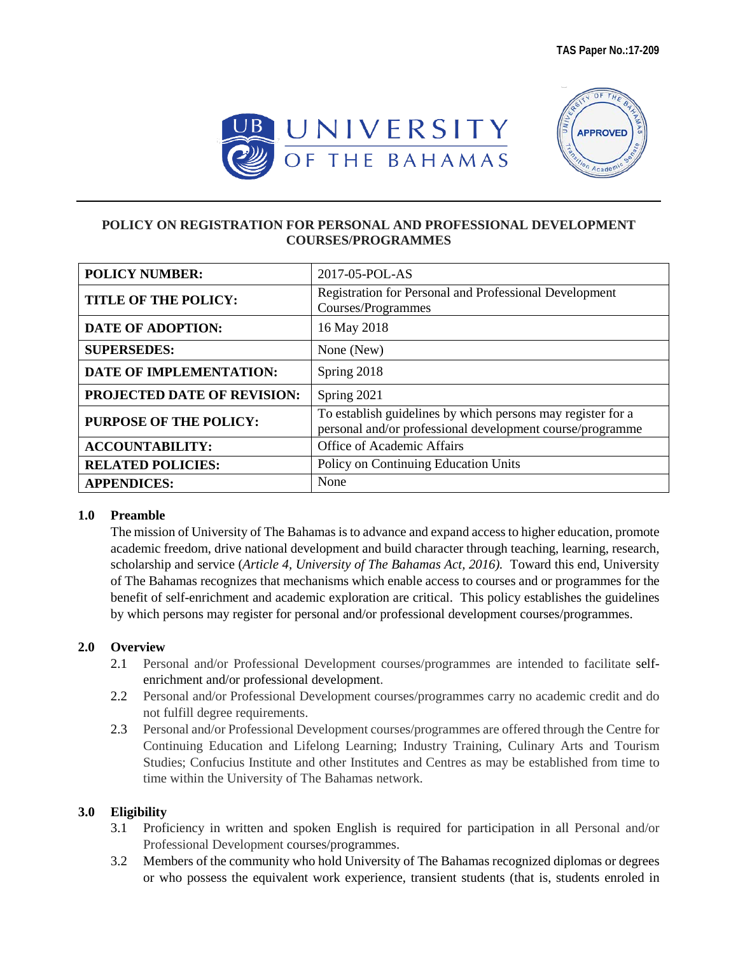



### **POLICY ON REGISTRATION FOR PERSONAL AND PROFESSIONAL DEVELOPMENT COURSES/PROGRAMMES**

| <b>POLICY NUMBER:</b>          | 2017-05-POL-AS                                                                                                           |
|--------------------------------|--------------------------------------------------------------------------------------------------------------------------|
| <b>TITLE OF THE POLICY:</b>    | Registration for Personal and Professional Development<br>Courses/Programmes                                             |
| <b>DATE OF ADOPTION:</b>       | 16 May 2018                                                                                                              |
| <b>SUPERSEDES:</b>             | None (New)                                                                                                               |
| <b>DATE OF IMPLEMENTATION:</b> | Spring 2018                                                                                                              |
| PROJECTED DATE OF REVISION:    | Spring 2021                                                                                                              |
| PURPOSE OF THE POLICY:         | To establish guidelines by which persons may register for a<br>personal and/or professional development course/programme |
| <b>ACCOUNTABILITY:</b>         | Office of Academic Affairs                                                                                               |
| <b>RELATED POLICIES:</b>       | Policy on Continuing Education Units                                                                                     |
| <b>APPENDICES:</b>             | None                                                                                                                     |

#### **1.0 Preamble**

The mission of University of The Bahamas is to advance and expand access to higher education, promote academic freedom, drive national development and build character through teaching, learning, research, scholarship and service (*Article 4, University of The Bahamas Act, 2016).* Toward this end, University of The Bahamas recognizes that mechanisms which enable access to courses and or programmes for the benefit of self-enrichment and academic exploration are critical. This policy establishes the guidelines by which persons may register for personal and/or professional development courses/programmes.

### **2.0 Overview**

- 2.1 Personal and/or Professional Development courses/programmes are intended to facilitate selfenrichment and/or professional development.
- 2.2 Personal and/or Professional Development courses/programmes carry no academic credit and do not fulfill degree requirements.
- 2.3 Personal and/or Professional Development courses/programmes are offered through the Centre for Continuing Education and Lifelong Learning; Industry Training, Culinary Arts and Tourism Studies; Confucius Institute and other Institutes and Centres as may be established from time to time within the University of The Bahamas network.

### **3.0 Eligibility**

- 3.1 Proficiency in written and spoken English is required for participation in all Personal and/or Professional Development courses/programmes.
- 3.2 Members of the community who hold University of The Bahamas recognized diplomas or degrees or who possess the equivalent work experience, transient students (that is, students enroled in